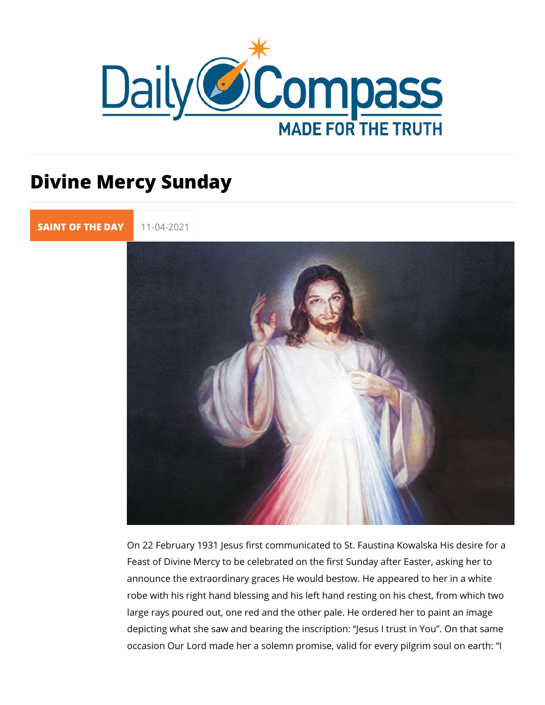## Divine Mercy Sunday

[SAINT OF TH](https://newdailycompass.com/en/santi-del-giorno)E 11-04-2021

On 22 February 1931 Jesus first communicated to St. Faustina Feast of Divine Mercy to be celebrated on the first Sunday aft announce the extraordinary graces He would bestow. He appea robe with his right hand blessing and his left hand resting on large rays poured out, one red and the other pale. He ordered depicting what she saw and bearing the inscription: Jesus I tr occasion Our Lord made her a solemn promise, valid for every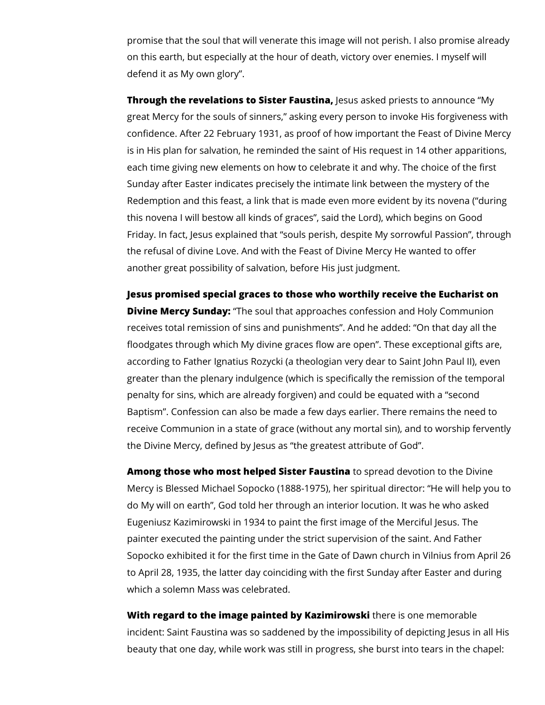promise that the soul that will venerate this image will not perish. I also promise already on this earth, but especially at the hour of death, victory over enemies. I myself will defend it as My own glory".

**Through the revelations to Sister Faustina,** Jesus asked priests to announce "My great Mercy for the souls of sinners," asking every person to invoke His forgiveness with confidence. After 22 February 1931, as proof of how important the Feast of Divine Mercy is in His plan for salvation, he reminded the saint of His request in 14 other apparitions, each time giving new elements on how to celebrate it and why. The choice of the first Sunday after Easter indicates precisely the intimate link between the mystery of the Redemption and this feast, a link that is made even more evident by its novena ("during this novena I will bestow all kinds of graces", said the Lord), which begins on Good Friday. In fact, Jesus explained that "souls perish, despite My sorrowful Passion", through the refusal of divine Love. And with the Feast of Divine Mercy He wanted to offer another great possibility of salvation, before His just judgment.

**Jesus promised special graces to those who worthily receive the Eucharist on Divine Mercy Sunday:** "The soul that approaches confession and Holy Communion receives total remission of sins and punishments". And he added: "On that day all the floodgates through which My divine graces flow are open". These exceptional gifts are, according to Father Ignatius Rozycki (a theologian very dear to Saint John Paul II), even greater than the plenary indulgence (which is specifically the remission of the temporal penalty for sins, which are already forgiven) and could be equated with a "second Baptism". Confession can also be made a few days earlier. There remains the need to receive Communion in a state of grace (without any mortal sin), and to worship fervently the Divine Mercy, defined by Jesus as "the greatest attribute of God".

**Among those who most helped Sister Faustina** to spread devotion to the Divine Mercy is Blessed Michael Sopocko (1888-1975), her spiritual director: "He will help you to do My will on earth", God told her through an interior locution. It was he who asked Eugeniusz Kazimirowski in 1934 to paint the first image of the Merciful Jesus. The painter executed the painting under the strict supervision of the saint. And Father Sopocko exhibited it for the first time in the Gate of Dawn church in Vilnius from April 26 to April 28, 1935, the latter day coinciding with the first Sunday after Easter and during which a solemn Mass was celebrated.

**With regard to the image painted by Kazimirowski** there is one memorable incident: Saint Faustina was so saddened by the impossibility of depicting Jesus in all His beauty that one day, while work was still in progress, she burst into tears in the chapel: